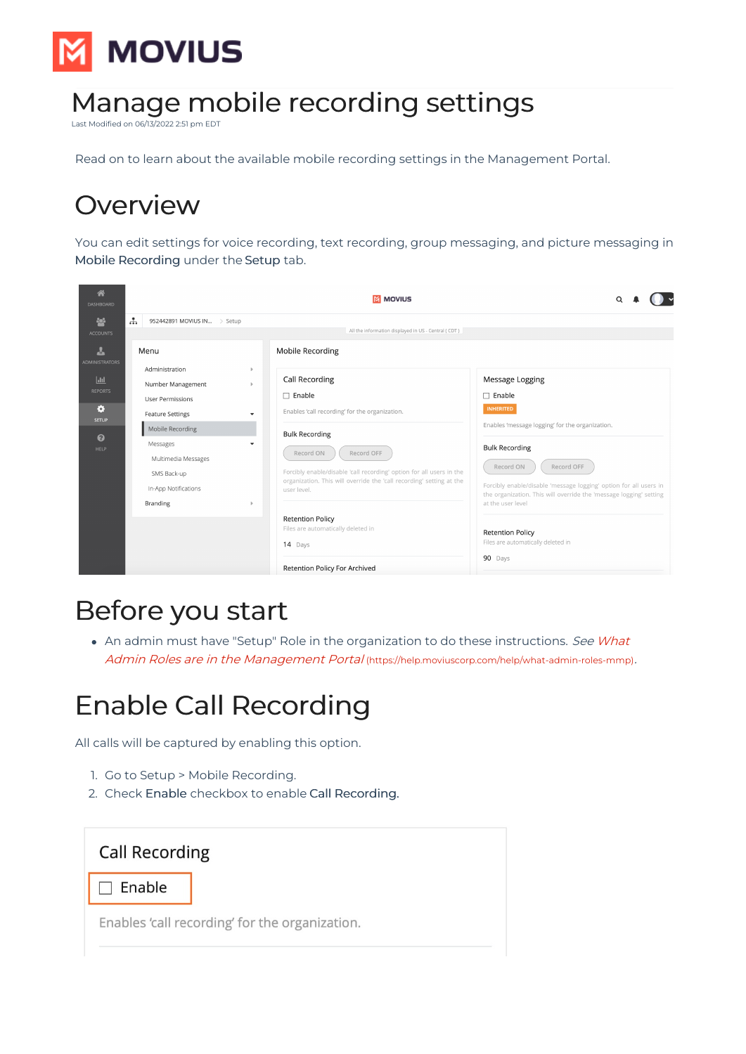

# Manage mobile recording settings

ed on 06/13/2022 2:51 pm

Read on to learn about the available mobile recording settings in the Management Portal.

## **Overview**

You can edit settings for voice recording, text recording, group messaging, and picture messaging in Mobile Recording under the Setup tab.



# Before you start

• An admin must have "Setup" Role in the organization to do these instructions. See What Admin Roles are in the Management Portal [\(https://help.moviuscorp.com/help/what-admin-roles-mmp\)](https://help.moviuscorp.com/help/what-admin-roles-mmp).

# Enable Call Recording

All calls will be captured by enabling this option.

- 1. Go to Setup > Mobile Recording.
- 2. Check Enable checkbox to enable Call Recording.

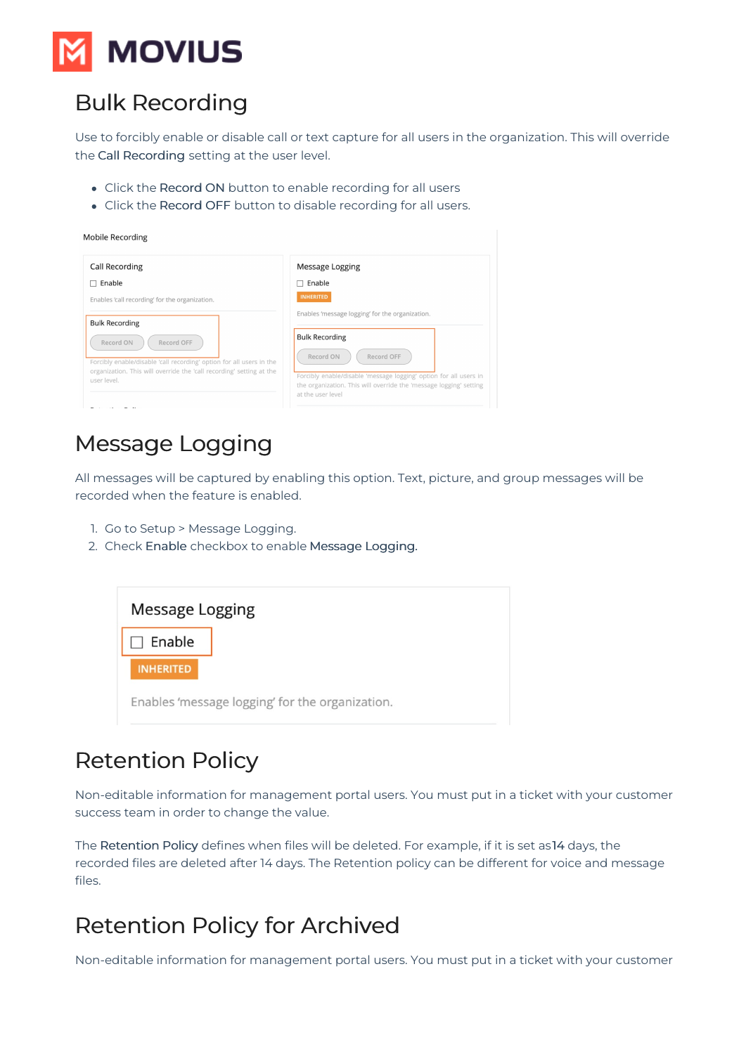

### Bulk Recording

Use to forcibly enable or disable call or text capture for all users in the organization. This will override the Call Recording setting at the user level.

- Click the Record ON button to enable recording for all users
- Click the Record OFF button to disable recording for all users.

| Mobile Recording                                                                                                                                                                                 |                                                                                                                                                                          |
|--------------------------------------------------------------------------------------------------------------------------------------------------------------------------------------------------|--------------------------------------------------------------------------------------------------------------------------------------------------------------------------|
| <b>Call Recording</b>                                                                                                                                                                            | Message Logging                                                                                                                                                          |
| Enable                                                                                                                                                                                           | Enable                                                                                                                                                                   |
| Enables 'call recording' for the organization.                                                                                                                                                   | <b>INHERITED</b>                                                                                                                                                         |
| <b>Bulk Recording</b><br>Record ON<br>Record OFF<br>Forcibly enable/disable 'call recording' option for all users in the<br>organization. This will override the 'call recording' setting at the | Enables 'message logging' for the organization.<br><b>Bulk Recording</b><br>Record ON<br>Record OFF<br>Forcibly enable/disable 'message logging' option for all users in |
| user level.                                                                                                                                                                                      | the organization. This will override the 'message logging' setting<br>at the user level                                                                                  |

#### Message Logging

All messages will be captured by enabling this option. Text, picture, and group messages will be recorded when the feature is enabled.

- 1. Go to Setup > Message Logging.
- 2. Check Enable checkbox to enable Message Logging.

| Message Logging                                 |  |
|-------------------------------------------------|--|
| Enable                                          |  |
| <b>INHERITED</b>                                |  |
| Enables 'message logging' for the organization. |  |

#### Retention Policy

Non-editable information for management portal users. You must put in a ticket with your customer success team in order to change the value.

The Retention Policy defines when files will be deleted. For example, if it is set as14 days, the recorded files are deleted after 14 days. The Retention policy can be different for voice and message files.

#### Retention Policy for Archived

Non-editable information for management portal users. You must put in a ticket with your customer